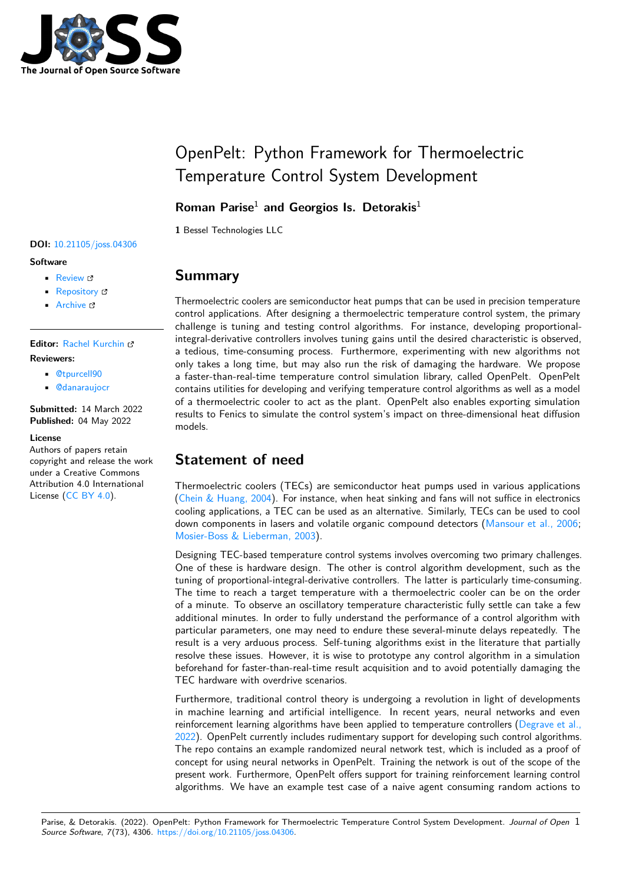

# OpenPelt: Python Framework for Thermoelectric Temperature Control System Development

### **Roman Parise**<sup>1</sup> **and Georgios Is. Detorakis**<sup>1</sup>

**1** Bessel Technologies LLC

### **DOI:** [10.21105/joss.04306](https://doi.org/10.21105/joss.04306)

#### **Software**

- [Review](https://github.com/openjournals/joss-reviews/issues/4306) &
- [Repository](https://github.com/thejackal360/OpenPelt-Public) &
- [Archive](https://doi.org/10.5281/zenodo.6514903) &

**Editor:** [Rachel Kurchin](rkurchin.github.io) **Reviewers:**

- [@tpurcell90](https://github.com/tpurcell90)
- [@danaraujocr](https://github.com/danaraujocr)

**Submitted:** 14 March 2022 **Published:** 04 May 2022

#### **License**

Authors of papers retain copyright and release the work under a Creative Commons Attribution 4.0 International License [\(CC BY 4.0\)](https://creativecommons.org/licenses/by/4.0/).

## **Summary**

Thermoelectric coolers are semiconductor heat pumps that can be used in precision temperature control applications. After designing a thermoelectric temperature control system, the primary challenge is tuning and testing control algorithms. For instance, developing proportionalintegral-derivative controllers involves tuning gains until the desired characteristic is observed, a tedious, time-consuming process. Furthermore, experimenting with new algorithms not only takes a long time, but may also run the risk of damaging the hardware. We propose a faster-than-real-time temperature control simulation library, called OpenPelt. OpenPelt contains utilities for developing and verifying temperature control algorithms as well as a model of a thermoelectric cooler to act as the plant. OpenPelt also enables exporting simulation results to Fenics to simulate the control system's impact on three-dimensional heat diffusion models.

# **Statement of need**

Thermoelectric coolers (TECs) are semiconductor heat pumps used in various applications [\(Chein & Huang, 2004\)](#page-4-0). For instance, when heat sinking and fans will not suffice in electronics cooling applications, a TEC can be used as an alternative. Similarly, TECs can be used to cool down components in lasers and volatile organic compound detectors [\(Mansour et al., 2006;](#page-5-0) [Mosier-Boss & Lieberman, 2003\)](#page-5-1).

Designing TEC-based temperature control systems involves overcoming two primary challenges. One of these is hardware design. The other is control algorithm development, such as the tuning of proportional-integral-derivative controllers. The latter is particularly time-consuming. The time to reach a target temperature with a thermoelectric cooler can be on the order of a minute. To observe an oscillatory temperature characteristic fully settle can take a few additional minutes. In order to fully understand the performance of a control algorithm with particular parameters, one may need to endure these several-minute delays repeatedly. The result is a very arduous process. Self-tuning algorithms exist in the literature that partially resolve these issues. However, it is wise to prototype any control algorithm in a simulation beforehand for faster-than-real-time result acquisition and to avoid potentially damaging the TEC hardware with overdrive scenarios.

Furthermore, traditional control theory is undergoing a revolution in light of developments in machine learning and artificial intelligence. In recent years, neural networks and even reinforcement learning algorithms have been applied to temperature controllers [\(Degrave et al.,](#page-4-1) [2022\)](#page-4-1). OpenPelt currently includes rudimentary support for developing such control algorithms. The repo contains an example randomized neural network test, which is included as a proof of concept for using neural networks in OpenPelt. Training the network is out of the scope of the present work. Furthermore, OpenPelt offers support for training reinforcement learning control algorithms. We have an example test case of a naive agent consuming random actions to

Parise, & Detorakis. (2022). OpenPelt: Python Framework for Thermoelectric Temperature Control System Development. Journal of Open 1 Source Software, 7(73), 4306. [https://doi.org/10.21105/joss.04306.](https://doi.org/10.21105/joss.04306)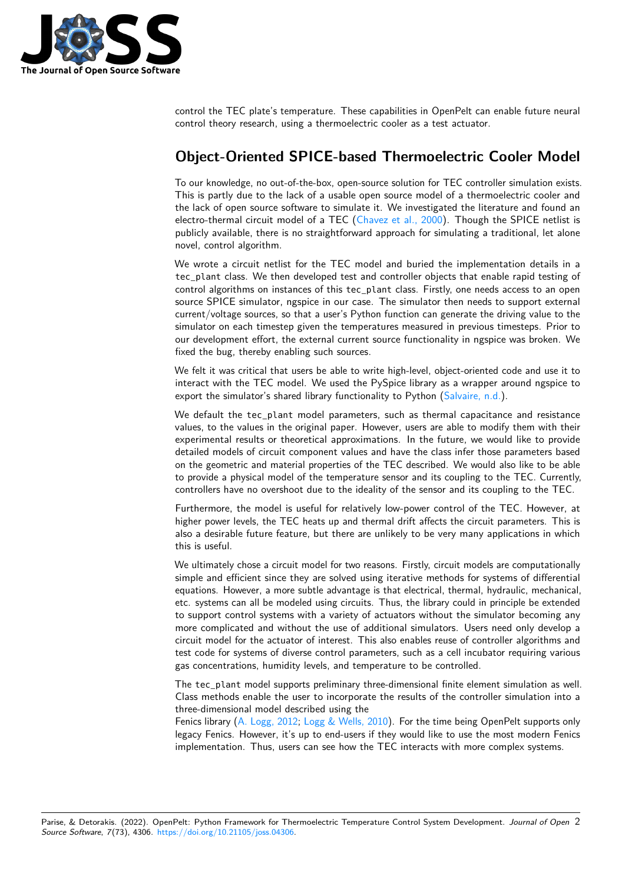

control the TEC plate's temperature. These capabilities in OpenPelt can enable future neural control theory research, using a thermoelectric cooler as a test actuator.

## **Object-Oriented SPICE-based Thermoelectric Cooler Model**

To our knowledge, no out-of-the-box, open-source solution for TEC controller simulation exists. This is partly due to the lack of a usable open source model of a thermoelectric cooler and the lack of open source software to simulate it. We investigated the literature and found an electro-thermal circuit model of a TEC [\(Chavez et al., 2000\)](#page-4-2). Though the SPICE netlist is publicly available, there is no straightforward approach for simulating a traditional, let alone novel, control algorithm.

We wrote a circuit netlist for the TEC model and buried the implementation details in a tec\_plant class. We then developed test and controller objects that enable rapid testing of control algorithms on instances of this tec\_plant class. Firstly, one needs access to an open source SPICE simulator, ngspice in our case. The simulator then needs to support external current/voltage sources, so that a user's Python function can generate the driving value to the simulator on each timestep given the temperatures measured in previous timesteps. Prior to our development effort, the external current source functionality in ngspice was broken. We fixed the bug, thereby enabling such sources.

We felt it was critical that users be able to write high-level, object-oriented code and use it to interact with the TEC model. We used the PySpice library as a wrapper around ngspice to export the simulator's shared library functionality to Python [\(Salvaire, n.d.\)](#page-5-2).

We default the tec plant model parameters, such as thermal capacitance and resistance values, to the values in the original paper. However, users are able to modify them with their experimental results or theoretical approximations. In the future, we would like to provide detailed models of circuit component values and have the class infer those parameters based on the geometric and material properties of the TEC described. We would also like to be able to provide a physical model of the temperature sensor and its coupling to the TEC. Currently, controllers have no overshoot due to the ideality of the sensor and its coupling to the TEC.

Furthermore, the model is useful for relatively low-power control of the TEC. However, at higher power levels, the TEC heats up and thermal drift affects the circuit parameters. This is also a desirable future feature, but there are unlikely to be very many applications in which this is useful.

We ultimately chose a circuit model for two reasons. Firstly, circuit models are computationally simple and efficient since they are solved using iterative methods for systems of differential equations. However, a more subtle advantage is that electrical, thermal, hydraulic, mechanical, etc. systems can all be modeled using circuits. Thus, the library could in principle be extended to support control systems with a variety of actuators without the simulator becoming any more complicated and without the use of additional simulators. Users need only develop a circuit model for the actuator of interest. This also enables reuse of controller algorithms and test code for systems of diverse control parameters, such as a cell incubator requiring various gas concentrations, humidity levels, and temperature to be controlled.

The tec\_plant model supports preliminary three-dimensional finite element simulation as well. Class methods enable the user to incorporate the results of the controller simulation into a three-dimensional model described using the

Fenics library [\(A. Logg, 2012;](#page-4-3) [Logg & Wells, 2010\)](#page-5-3). For the time being OpenPelt supports only legacy Fenics. However, it's up to end-users if they would like to use the most modern Fenics implementation. Thus, users can see how the TEC interacts with more complex systems.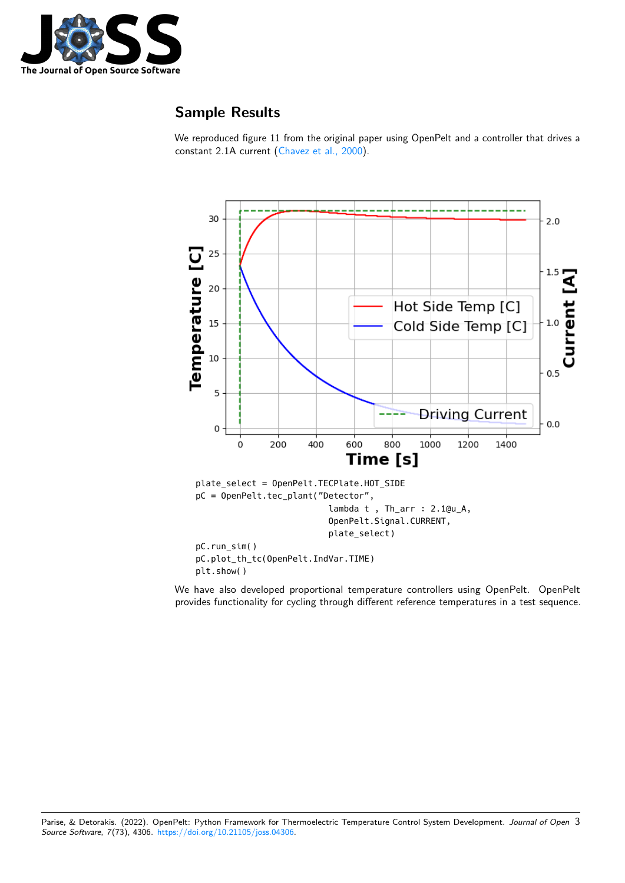

# **Sample Results**

We reproduced figure 11 from the original paper using OpenPelt and a controller that drives a constant 2.1A current [\(Chavez et al., 2000\)](#page-4-2).



We have also developed proportional temperature controllers using OpenPelt. OpenPelt provides functionality for cycling through different reference temperatures in a test sequence.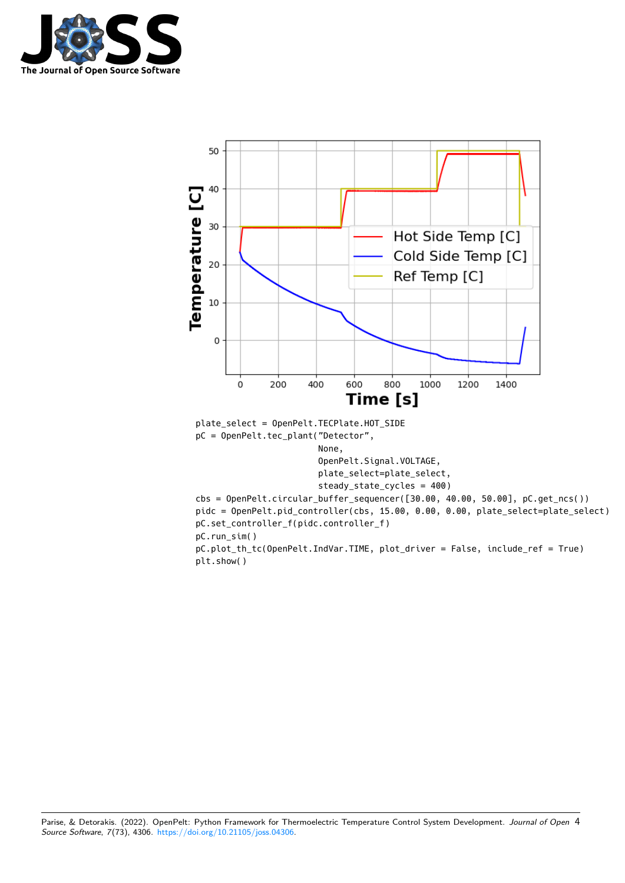

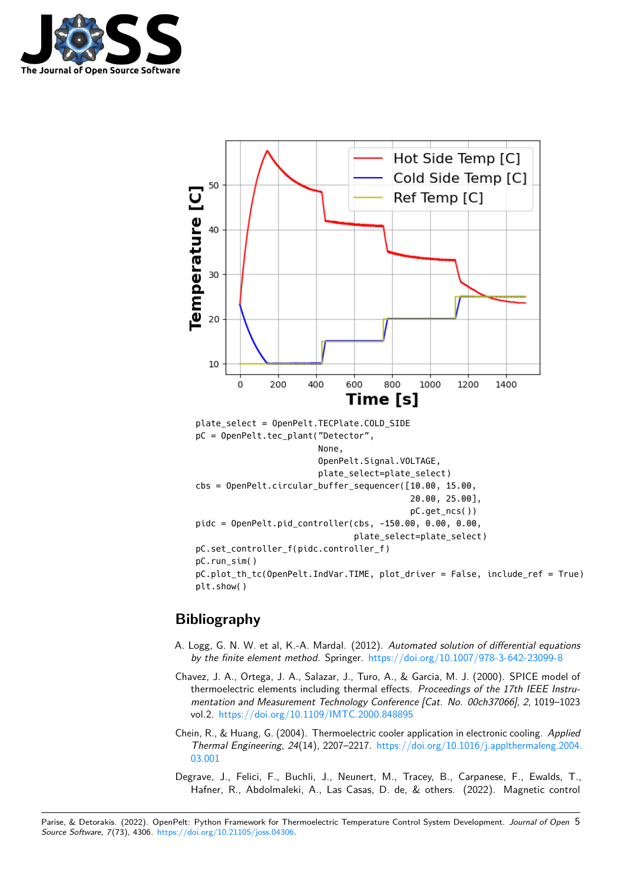



# **Bibliography**

- <span id="page-4-3"></span>A. Logg, G. N. W. et al, K.-A. Mardal. (2012). Automated solution of differential equations by the finite element method. Springer. <https://doi.org/10.1007/978-3-642-23099-8>
- <span id="page-4-2"></span>Chavez, J. A., Ortega, J. A., Salazar, J., Turo, A., & Garcia, M. J. (2000). SPICE model of thermoelectric elements including thermal effects. Proceedings of the 17th IEEE Instrumentation and Measurement Technology Conference [Cat. No. 00ch37066], 2, 1019–1023 vol.2. <https://doi.org/10.1109/IMTC.2000.848895>
- <span id="page-4-0"></span>Chein, R., & Huang, G. (2004). Thermoelectric cooler application in electronic cooling. Applied Thermal Engineering, 24(14), 2207–2217. [https://doi.org/10.1016/j.applthermaleng.2004.](https://doi.org/10.1016/j.applthermaleng.2004.03.001) [03.001](https://doi.org/10.1016/j.applthermaleng.2004.03.001)
- <span id="page-4-1"></span>Degrave, J., Felici, F., Buchli, J., Neunert, M., Tracey, B., Carpanese, F., Ewalds, T., Hafner, R., Abdolmaleki, A., Las Casas, D. de, & others. (2022). Magnetic control